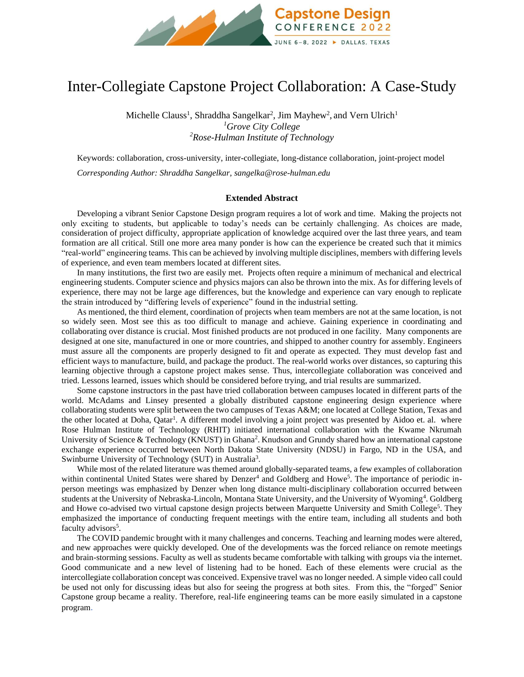

## Inter-Collegiate Capstone Project Collaboration: A Case-Study

Michelle Clauss<sup>1</sup>, Shraddha Sangelkar<sup>2</sup>, Jim Mayhew<sup>2</sup>, and Vern Ulrich<sup>1</sup> *<sup>1</sup>Grove City College <sup>2</sup>Rose-Hulman Institute of Technology*

Keywords: collaboration, cross-university, inter-collegiate, long-distance collaboration, joint-project model *Corresponding Author: Shraddha Sangelkar, sangelka@rose-hulman.edu*

## **Extended Abstract**

Developing a vibrant Senior Capstone Design program requires a lot of work and time. Making the projects not only exciting to students, but applicable to today's needs can be certainly challenging. As choices are made, consideration of project difficulty, appropriate application of knowledge acquired over the last three years, and team formation are all critical. Still one more area many ponder is how can the experience be created such that it mimics "real-world" engineering teams. This can be achieved by involving multiple disciplines, members with differing levels of experience, and even team members located at different sites.

In many institutions, the first two are easily met. Projects often require a minimum of mechanical and electrical engineering students. Computer science and physics majors can also be thrown into the mix. As for differing levels of experience, there may not be large age differences, but the knowledge and experience can vary enough to replicate the strain introduced by "differing levels of experience" found in the industrial setting.

As mentioned, the third element, coordination of projects when team members are not at the same location, is not so widely seen. Most see this as too difficult to manage and achieve. Gaining experience in coordinating and collaborating over distance is crucial. Most finished products are not produced in one facility. Many components are designed at one site, manufactured in one or more countries, and shipped to another country for assembly. Engineers must assure all the components are properly designed to fit and operate as expected. They must develop fast and efficient ways to manufacture, build, and package the product. The real-world works over distances, so capturing this learning objective through a capstone project makes sense. Thus, intercollegiate collaboration was conceived and tried. Lessons learned, issues which should be considered before trying, and trial results are summarized.

Some capstone instructors in the past have tried collaboration between campuses located in different parts of the world. McAdams and Linsey presented a globally distributed capstone engineering design experience where collaborating students were split between the two campuses of Texas A&M; one located at College Station, Texas and the other located at Doha, Qatar<sup>1</sup>. A different model involving a joint project was presented by Aidoo et. al. where Rose Hulman Institute of Technology (RHIT) initiated international collaboration with the Kwame Nkrumah University of Science & Technology (KNUST) in Ghana<sup>2</sup>. Knudson and Grundy shared how an international capstone exchange experience occurred between North Dakota State University (NDSU) in Fargo, ND in the USA, and Swinburne University of Technology (SUT) in Australia<sup>3</sup>.

While most of the related literature was themed around globally-separated teams, a few examples of collaboration within continental United States were shared by Denzer<sup>4</sup> and Goldberg and Howe<sup>5</sup>. The importance of periodic inperson meetings was emphasized by Denzer when long distance multi-disciplinary collaboration occurred between students at the University of Nebraska-Lincoln, Montana State University, and the University of Wyoming<sup>4</sup>. Goldberg and Howe co-advised two virtual capstone design projects between Marquette University and Smith College<sup>5</sup>. They emphasized the importance of conducting frequent meetings with the entire team, including all students and both faculty advisors<sup>5</sup>.

The COVID pandemic brought with it many challenges and concerns. Teaching and learning modes were altered, and new approaches were quickly developed. One of the developments was the forced reliance on remote meetings and brain-storming sessions. Faculty as well as students became comfortable with talking with groups via the internet. Good communicate and a new level of listening had to be honed. Each of these elements were crucial as the intercollegiate collaboration concept was conceived. Expensive travel was no longer needed. A simple video call could be used not only for discussing ideas but also for seeing the progress at both sites. From this, the "forged" Senior Capstone group became a reality. Therefore, real-life engineering teams can be more easily simulated in a capstone program.